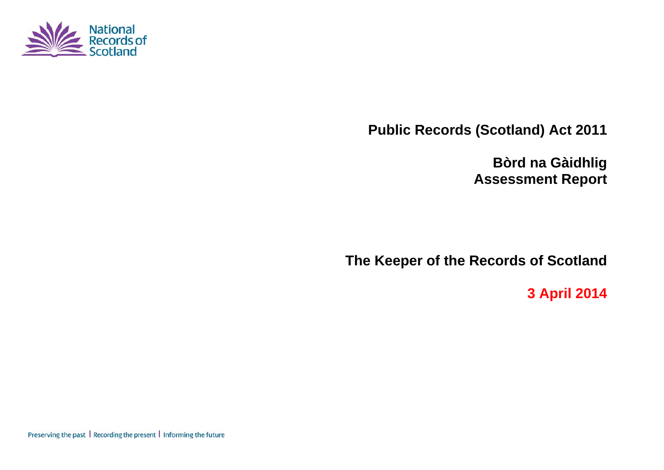

**Public Records (Scotland) Act 2011** 

**Bòrd na Gàidhlig Assessment Report** 

**The Keeper of the Records of Scotland** 

**3 April 2014** 

Preserving the past | Recording the present | Informing the future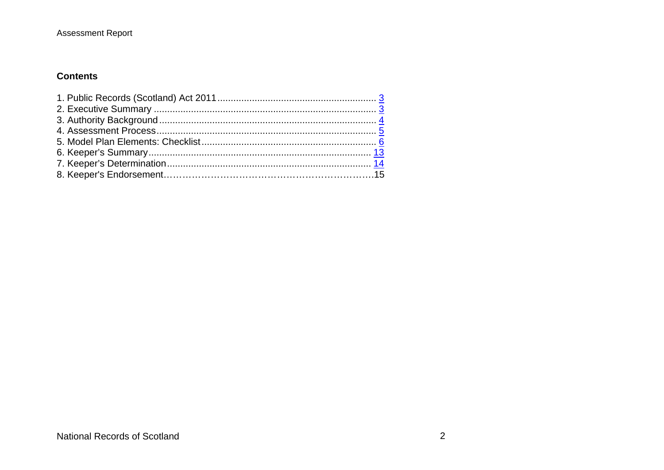## **Contents**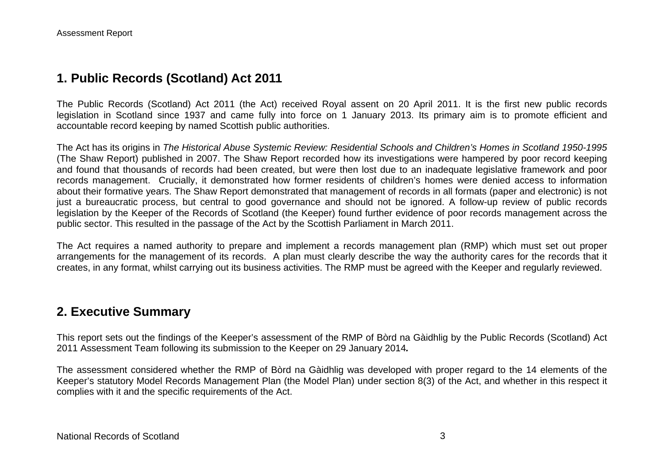## **1. Public Records (Scotland) Act 2011**

The Public Records (Scotland) Act 2011 (the Act) received Royal assent on 20 April 2011. It is the first new public records legislation in Scotland since 1937 and came fully into force on 1 January 2013. Its primary aim is to promote efficient and accountable record keeping by named Scottish public authorities.

The Act has its origins in *The Historical Abuse Systemic Review: Residential Schools and Children's Homes in Scotland 1950-1995* (The Shaw Report) published in 2007. The Shaw Report recorded how its investigations were hampered by poor record keeping and found that thousands of records had been created, but were then lost due to an inadequate legislative framework and poor records management. Crucially, it demonstrated how former residents of children's homes were denied access to information about their formative years. The Shaw Report demonstrated that management of records in all formats (paper and electronic) is not just a bureaucratic process, but central to good governance and should not be ignored. A follow-up review of public records legislation by the Keeper of the Records of Scotland (the Keeper) found further evidence of poor records management across the public sector. This resulted in the passage of the Act by the Scottish Parliament in March 2011.

The Act requires a named authority to prepare and implement a records management plan (RMP) which must set out proper arrangements for the management of its records. A plan must clearly describe the way the authority cares for the records that it creates, in any format, whilst carrying out its business activities. The RMP must be agreed with the Keeper and regularly reviewed.

## **2. Executive Summary**

This report sets out the findings of the Keeper's assessment of the RMP of Bòrd na Gàidhlig by the Public Records (Scotland) Act 2011 Assessment Team following its submission to the Keeper on 29 January 2014*.*

The assessment considered whether the RMP of Bòrd na Gàidhlig was developed with proper regard to the 14 elements of the Keeper's statutory Model Records Management Plan (the Model Plan) under section 8(3) of the Act, and whether in this respect it complies with it and the specific requirements of the Act.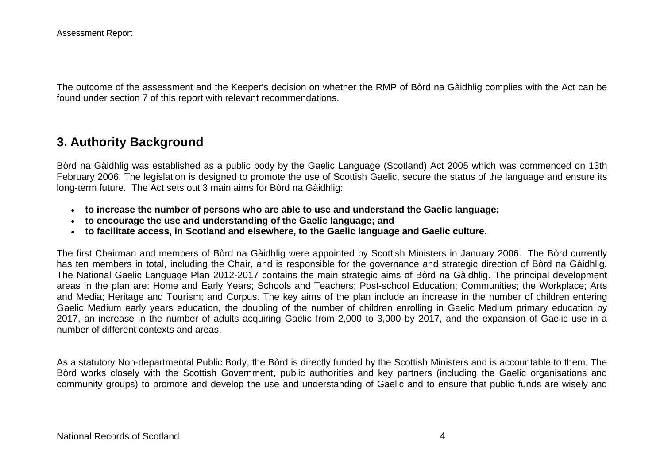The outcome of the assessment and the Keeper's decision on whether the RMP of Bòrd na Gàidhlig complies with the Act can be found under section 7 of this report with relevant recommendations.

## **3. Authority Background**

Bòrd na Gàidhlig was established as a public body by the Gaelic Language (Scotland) Act 2005 which was commenced on 13th February 2006. The legislation is designed to promote the use of Scottish Gaelic, secure the status of the language and ensure its long-term future. The Act sets out 3 main aims for Bòrd na Gàidhlig:

- **to increase the number of persons who are able to use and understand the Gaelic language;**
- **to encourage the use and understanding of the Gaelic language; and**
- **to facilitate access, in Scotland and elsewhere, to the Gaelic language and Gaelic culture.**

The first Chairman and members of Bòrd na Gàidhlig were appointed by Scottish Ministers in January 2006. The Bòrd currently has ten members in total, including the Chair, and is responsible for the governance and strategic direction of Bòrd na Gàidhlig. The National Gaelic Language Plan 2012-2017 contains the main strategic aims of Bòrd na Gàidhlig. The principal development areas in the plan are: Home and Early Years; Schools and Teachers; Post-school Education; Communities; the Workplace; Arts and Media; Heritage and Tourism; and Corpus. The key aims of the plan include an increase in the number of children entering Gaelic Medium early years education, the doubling of the number of children enrolling in Gaelic Medium primary education by 2017, an increase in the number of adults acquiring Gaelic from 2,000 to 3,000 by 2017, and the expansion of Gaelic use in a number of different contexts and areas.

As a statutory Non-departmental Public Body, the Bòrd is directly funded by the Scottish Ministers and is accountable to them. The Bòrd works closely with the Scottish Government, public authorities and key partners (including the Gaelic organisations and community groups) to promote and develop the use and understanding of Gaelic and to ensure that public funds are wisely and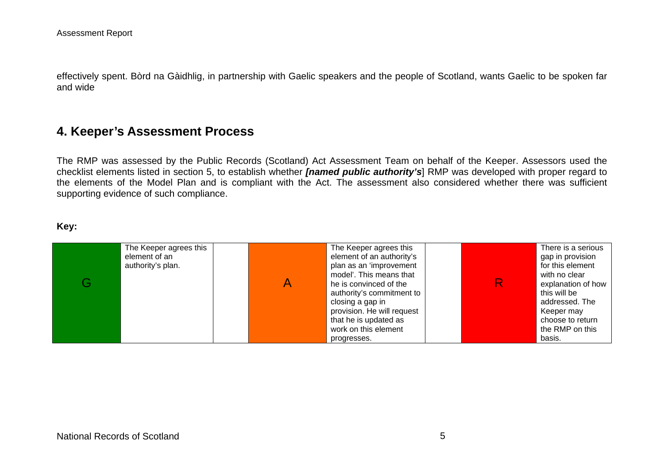effectively spent. Bòrd na Gàidhlig, in partnership with Gaelic speakers and the people of Scotland, wants Gaelic to be spoken far and wide

## **4. Keeper's Assessment Process**

The RMP was assessed by the Public Records (Scotland) Act Assessment Team on behalf of the Keeper. Assessors used the checklist elements listed in section 5, to establish whether *[named public authority's*] RMP was developed with proper regard to the elements of the Model Plan and is compliant with the Act. The assessment also considered whether there was sufficient supporting evidence of such compliance.

#### **Key:**

| The Keeper agrees this<br>element of an<br>authority's plan. | The Keeper agrees this<br>element of an authority's<br>plan as an 'improvement<br>model'. This means that<br>he is convinced of the<br>authority's commitment to<br>closing a gap in<br>provision. He will request<br>that he is updated as<br>work on this element | There is a serious<br>gap in provision<br>for this element<br>with no clear<br>explanation of how<br>this will be<br>addressed. The<br>Keeper may<br>choose to return<br>the RMP on this |
|--------------------------------------------------------------|---------------------------------------------------------------------------------------------------------------------------------------------------------------------------------------------------------------------------------------------------------------------|------------------------------------------------------------------------------------------------------------------------------------------------------------------------------------------|
|                                                              | progresses.                                                                                                                                                                                                                                                         | basis.                                                                                                                                                                                   |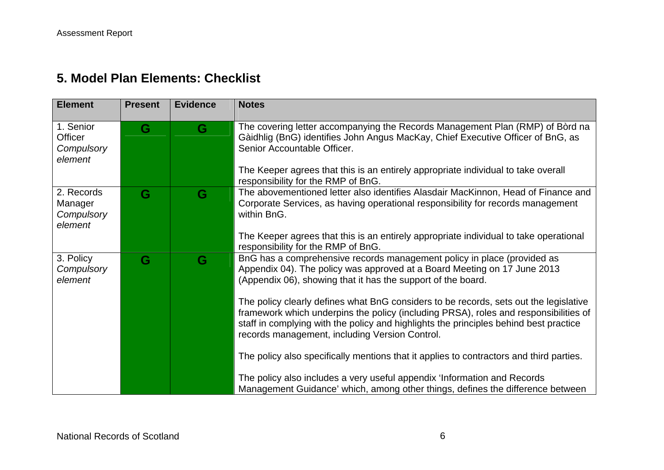# **5. Model Plan Elements: Checklist**

| <b>Element</b>                                 | <b>Present</b> | <b>Evidence</b> | <b>Notes</b>                                                                                                                                                                                                                                                                                                             |
|------------------------------------------------|----------------|-----------------|--------------------------------------------------------------------------------------------------------------------------------------------------------------------------------------------------------------------------------------------------------------------------------------------------------------------------|
| 1. Senior<br>Officer<br>Compulsory<br>element  | G              | G               | The covering letter accompanying the Records Management Plan (RMP) of Bord na<br>Gàidhlig (BnG) identifies John Angus MacKay, Chief Executive Officer of BnG, as<br>Senior Accountable Officer.<br>The Keeper agrees that this is an entirely appropriate individual to take overall                                     |
|                                                |                |                 | responsibility for the RMP of BnG.                                                                                                                                                                                                                                                                                       |
| 2. Records<br>Manager<br>Compulsory<br>element | G              | G               | The abovementioned letter also identifies Alasdair MacKinnon, Head of Finance and<br>Corporate Services, as having operational responsibility for records management<br>within BnG.                                                                                                                                      |
|                                                |                |                 | The Keeper agrees that this is an entirely appropriate individual to take operational<br>responsibility for the RMP of BnG.                                                                                                                                                                                              |
| 3. Policy<br>Compulsory<br>element             | G              | G               | BnG has a comprehensive records management policy in place (provided as<br>Appendix 04). The policy was approved at a Board Meeting on 17 June 2013<br>(Appendix 06), showing that it has the support of the board.                                                                                                      |
|                                                |                |                 | The policy clearly defines what BnG considers to be records, sets out the legislative<br>framework which underpins the policy (including PRSA), roles and responsibilities of<br>staff in complying with the policy and highlights the principles behind best practice<br>records management, including Version Control. |
|                                                |                |                 | The policy also specifically mentions that it applies to contractors and third parties.                                                                                                                                                                                                                                  |
|                                                |                |                 | The policy also includes a very useful appendix 'Information and Records<br>Management Guidance' which, among other things, defines the difference between                                                                                                                                                               |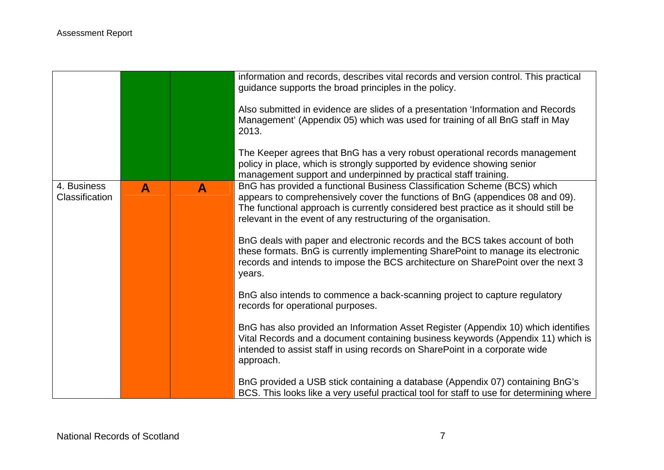|                                      |   |              | information and records, describes vital records and version control. This practical<br>guidance supports the broad principles in the policy.                                                                                                                                                                       |
|--------------------------------------|---|--------------|---------------------------------------------------------------------------------------------------------------------------------------------------------------------------------------------------------------------------------------------------------------------------------------------------------------------|
|                                      |   |              | Also submitted in evidence are slides of a presentation 'Information and Records<br>Management' (Appendix 05) which was used for training of all BnG staff in May<br>2013.                                                                                                                                          |
|                                      |   |              | The Keeper agrees that BnG has a very robust operational records management<br>policy in place, which is strongly supported by evidence showing senior<br>management support and underpinned by practical staff training.                                                                                           |
| 4. Business<br><b>Classification</b> | A | $\mathbf{A}$ | BnG has provided a functional Business Classification Scheme (BCS) which<br>appears to comprehensively cover the functions of BnG (appendices 08 and 09).<br>The functional approach is currently considered best practice as it should still be<br>relevant in the event of any restructuring of the organisation. |
|                                      |   |              | BnG deals with paper and electronic records and the BCS takes account of both<br>these formats. BnG is currently implementing SharePoint to manage its electronic<br>records and intends to impose the BCS architecture on SharePoint over the next 3<br>years.                                                     |
|                                      |   |              | BnG also intends to commence a back-scanning project to capture regulatory<br>records for operational purposes.                                                                                                                                                                                                     |
|                                      |   |              | BnG has also provided an Information Asset Register (Appendix 10) which identifies<br>Vital Records and a document containing business keywords (Appendix 11) which is<br>intended to assist staff in using records on SharePoint in a corporate wide<br>approach.                                                  |
|                                      |   |              | BnG provided a USB stick containing a database (Appendix 07) containing BnG's<br>BCS. This looks like a very useful practical tool for staff to use for determining where                                                                                                                                           |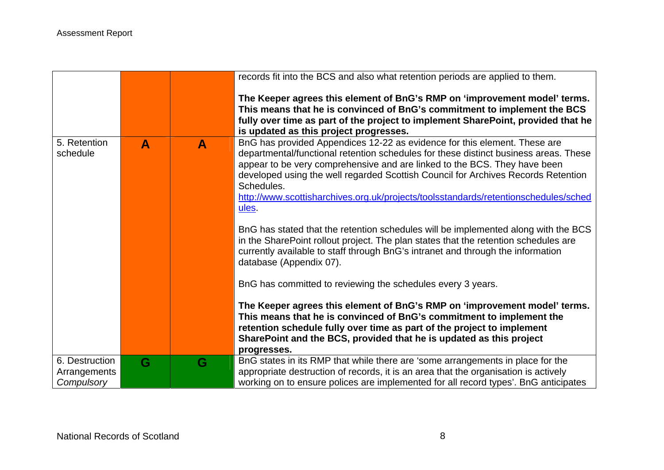|                            |   |   | records fit into the BCS and also what retention periods are applied to them.                                                                                                                                                                                                                                                                                                                                                                                                                                                                                                                                                                                                                                                                                                                                                                                                                                                                                                                                                                                                                                                    |
|----------------------------|---|---|----------------------------------------------------------------------------------------------------------------------------------------------------------------------------------------------------------------------------------------------------------------------------------------------------------------------------------------------------------------------------------------------------------------------------------------------------------------------------------------------------------------------------------------------------------------------------------------------------------------------------------------------------------------------------------------------------------------------------------------------------------------------------------------------------------------------------------------------------------------------------------------------------------------------------------------------------------------------------------------------------------------------------------------------------------------------------------------------------------------------------------|
|                            |   |   | The Keeper agrees this element of BnG's RMP on 'improvement model' terms.<br>This means that he is convinced of BnG's commitment to implement the BCS<br>fully over time as part of the project to implement SharePoint, provided that he<br>is updated as this project progresses.                                                                                                                                                                                                                                                                                                                                                                                                                                                                                                                                                                                                                                                                                                                                                                                                                                              |
| 5. Retention<br>schedule   | A | A | BnG has provided Appendices 12-22 as evidence for this element. These are<br>departmental/functional retention schedules for these distinct business areas. These<br>appear to be very comprehensive and are linked to the BCS. They have been<br>developed using the well regarded Scottish Council for Archives Records Retention<br>Schedules.<br>http://www.scottisharchives.org.uk/projects/toolsstandards/retentionschedules/sched<br>ules.<br>BnG has stated that the retention schedules will be implemented along with the BCS<br>in the SharePoint rollout project. The plan states that the retention schedules are<br>currently available to staff through BnG's intranet and through the information<br>database (Appendix 07).<br>BnG has committed to reviewing the schedules every 3 years.<br>The Keeper agrees this element of BnG's RMP on 'improvement model' terms.<br>This means that he is convinced of BnG's commitment to implement the<br>retention schedule fully over time as part of the project to implement<br>SharePoint and the BCS, provided that he is updated as this project<br>progresses. |
| 6. Destruction             | G | G | BnG states in its RMP that while there are 'some arrangements in place for the                                                                                                                                                                                                                                                                                                                                                                                                                                                                                                                                                                                                                                                                                                                                                                                                                                                                                                                                                                                                                                                   |
| Arrangements<br>Compulsory |   |   | appropriate destruction of records, it is an area that the organisation is actively<br>working on to ensure polices are implemented for all record types'. BnG anticipates                                                                                                                                                                                                                                                                                                                                                                                                                                                                                                                                                                                                                                                                                                                                                                                                                                                                                                                                                       |
|                            |   |   |                                                                                                                                                                                                                                                                                                                                                                                                                                                                                                                                                                                                                                                                                                                                                                                                                                                                                                                                                                                                                                                                                                                                  |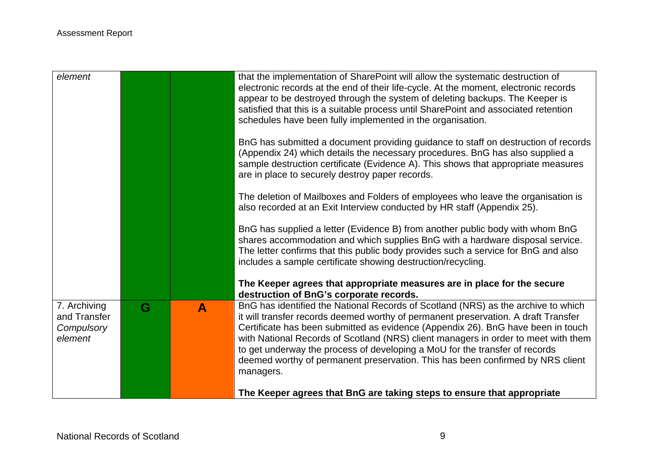| element                                               |   |   | that the implementation of SharePoint will allow the systematic destruction of<br>electronic records at the end of their life-cycle. At the moment, electronic records<br>appear to be destroyed through the system of deleting backups. The Keeper is<br>satisfied that this is a suitable process until SharePoint and associated retention<br>schedules have been fully implemented in the organisation.                                                                                                                     |
|-------------------------------------------------------|---|---|---------------------------------------------------------------------------------------------------------------------------------------------------------------------------------------------------------------------------------------------------------------------------------------------------------------------------------------------------------------------------------------------------------------------------------------------------------------------------------------------------------------------------------|
|                                                       |   |   | BnG has submitted a document providing guidance to staff on destruction of records<br>(Appendix 24) which details the necessary procedures. BnG has also supplied a<br>sample destruction certificate (Evidence A). This shows that appropriate measures<br>are in place to securely destroy paper records.                                                                                                                                                                                                                     |
|                                                       |   |   | The deletion of Mailboxes and Folders of employees who leave the organisation is<br>also recorded at an Exit Interview conducted by HR staff (Appendix 25).                                                                                                                                                                                                                                                                                                                                                                     |
|                                                       |   |   | BnG has supplied a letter (Evidence B) from another public body with whom BnG<br>shares accommodation and which supplies BnG with a hardware disposal service.<br>The letter confirms that this public body provides such a service for BnG and also<br>includes a sample certificate showing destruction/recycling.                                                                                                                                                                                                            |
|                                                       |   |   | The Keeper agrees that appropriate measures are in place for the secure<br>destruction of BnG's corporate records.                                                                                                                                                                                                                                                                                                                                                                                                              |
| 7. Archiving<br>and Transfer<br>Compulsory<br>element | G | A | BnG has identified the National Records of Scotland (NRS) as the archive to which<br>it will transfer records deemed worthy of permanent preservation. A draft Transfer<br>Certificate has been submitted as evidence (Appendix 26). BnG have been in touch<br>with National Records of Scotland (NRS) client managers in order to meet with them<br>to get underway the process of developing a MoU for the transfer of records<br>deemed worthy of permanent preservation. This has been confirmed by NRS client<br>managers. |
|                                                       |   |   | The Keeper agrees that BnG are taking steps to ensure that appropriate                                                                                                                                                                                                                                                                                                                                                                                                                                                          |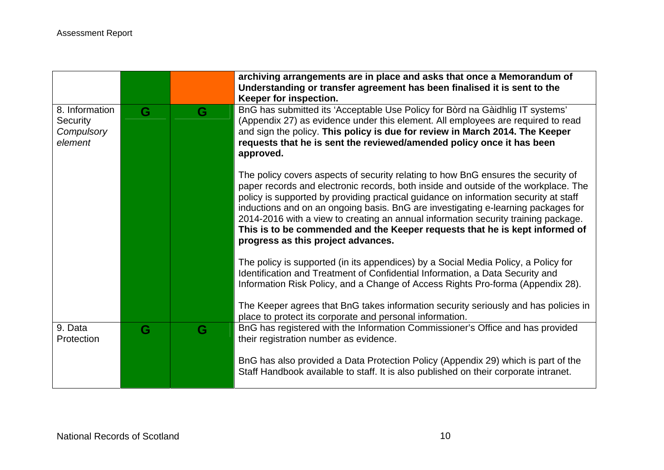|                                                            |   |   | archiving arrangements are in place and asks that once a Memorandum of<br>Understanding or transfer agreement has been finalised it is sent to the<br>Keeper for inspection.                                                                                                                                                                                                                                                                                                                                                                                     |
|------------------------------------------------------------|---|---|------------------------------------------------------------------------------------------------------------------------------------------------------------------------------------------------------------------------------------------------------------------------------------------------------------------------------------------------------------------------------------------------------------------------------------------------------------------------------------------------------------------------------------------------------------------|
| 8. Information<br><b>Security</b><br>Compulsory<br>element | G | G | BnG has submitted its 'Acceptable Use Policy for Bord na Gaidhlig IT systems'<br>(Appendix 27) as evidence under this element. All employees are required to read<br>and sign the policy. This policy is due for review in March 2014. The Keeper<br>requests that he is sent the reviewed/amended policy once it has been<br>approved.                                                                                                                                                                                                                          |
|                                                            |   |   | The policy covers aspects of security relating to how BnG ensures the security of<br>paper records and electronic records, both inside and outside of the workplace. The<br>policy is supported by providing practical guidance on information security at staff<br>inductions and on an ongoing basis. BnG are investigating e-learning packages for<br>2014-2016 with a view to creating an annual information security training package.<br>This is to be commended and the Keeper requests that he is kept informed of<br>progress as this project advances. |
|                                                            |   |   | The policy is supported (in its appendices) by a Social Media Policy, a Policy for<br>Identification and Treatment of Confidential Information, a Data Security and<br>Information Risk Policy, and a Change of Access Rights Pro-forma (Appendix 28).<br>The Keeper agrees that BnG takes information security seriously and has policies in                                                                                                                                                                                                                    |
|                                                            |   |   | place to protect its corporate and personal information.                                                                                                                                                                                                                                                                                                                                                                                                                                                                                                         |
| 9. Data<br>Protection                                      | G | G | BnG has registered with the Information Commissioner's Office and has provided<br>their registration number as evidence.                                                                                                                                                                                                                                                                                                                                                                                                                                         |
|                                                            |   |   | BnG has also provided a Data Protection Policy (Appendix 29) which is part of the<br>Staff Handbook available to staff. It is also published on their corporate intranet.                                                                                                                                                                                                                                                                                                                                                                                        |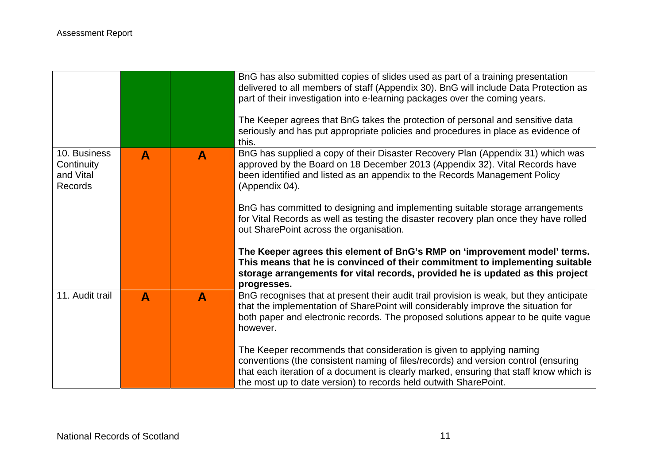|                                                           |                  |                  | BnG has also submitted copies of slides used as part of a training presentation<br>delivered to all members of staff (Appendix 30). BnG will include Data Protection as<br>part of their investigation into e-learning packages over the coming years.<br>The Keeper agrees that BnG takes the protection of personal and sensitive data<br>seriously and has put appropriate policies and procedures in place as evidence of |
|-----------------------------------------------------------|------------------|------------------|-------------------------------------------------------------------------------------------------------------------------------------------------------------------------------------------------------------------------------------------------------------------------------------------------------------------------------------------------------------------------------------------------------------------------------|
|                                                           |                  |                  | this.                                                                                                                                                                                                                                                                                                                                                                                                                         |
| 10. Business<br>Continuity<br>and Vital<br><b>Records</b> | A                | A                | BnG has supplied a copy of their Disaster Recovery Plan (Appendix 31) which was<br>approved by the Board on 18 December 2013 (Appendix 32). Vital Records have<br>been identified and listed as an appendix to the Records Management Policy<br>(Appendix 04).                                                                                                                                                                |
|                                                           |                  |                  | BnG has committed to designing and implementing suitable storage arrangements<br>for Vital Records as well as testing the disaster recovery plan once they have rolled<br>out SharePoint across the organisation.                                                                                                                                                                                                             |
|                                                           |                  |                  | The Keeper agrees this element of BnG's RMP on 'improvement model' terms.<br>This means that he is convinced of their commitment to implementing suitable<br>storage arrangements for vital records, provided he is updated as this project<br>progresses.                                                                                                                                                                    |
| 11. Audit trail                                           | $\blacktriangle$ | $\blacktriangle$ | BnG recognises that at present their audit trail provision is weak, but they anticipate<br>that the implementation of SharePoint will considerably improve the situation for<br>both paper and electronic records. The proposed solutions appear to be quite vague<br>however.                                                                                                                                                |
|                                                           |                  |                  | The Keeper recommends that consideration is given to applying naming<br>conventions (the consistent naming of files/records) and version control (ensuring<br>that each iteration of a document is clearly marked, ensuring that staff know which is<br>the most up to date version) to records held outwith SharePoint.                                                                                                      |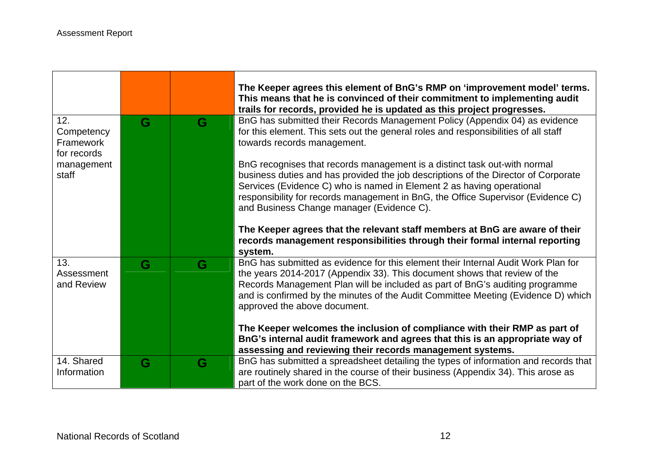|                                                      |   |   | The Keeper agrees this element of BnG's RMP on 'improvement model' terms.<br>This means that he is convinced of their commitment to implementing audit<br>trails for records, provided he is updated as this project progresses.                                                                                                                                          |
|------------------------------------------------------|---|---|---------------------------------------------------------------------------------------------------------------------------------------------------------------------------------------------------------------------------------------------------------------------------------------------------------------------------------------------------------------------------|
| 12.<br>Competency<br><b>Framework</b><br>for records | G | G | BnG has submitted their Records Management Policy (Appendix 04) as evidence<br>for this element. This sets out the general roles and responsibilities of all staff<br>towards records management.                                                                                                                                                                         |
| management<br>staff                                  |   |   | BnG recognises that records management is a distinct task out-with normal<br>business duties and has provided the job descriptions of the Director of Corporate<br>Services (Evidence C) who is named in Element 2 as having operational<br>responsibility for records management in BnG, the Office Supervisor (Evidence C)<br>and Business Change manager (Evidence C). |
|                                                      |   |   | The Keeper agrees that the relevant staff members at BnG are aware of their<br>records management responsibilities through their formal internal reporting<br>system.                                                                                                                                                                                                     |
| 13.<br>Assessment<br>and Review                      | G | G | BnG has submitted as evidence for this element their Internal Audit Work Plan for<br>the years 2014-2017 (Appendix 33). This document shows that review of the<br>Records Management Plan will be included as part of BnG's auditing programme<br>and is confirmed by the minutes of the Audit Committee Meeting (Evidence D) which<br>approved the above document.       |
|                                                      |   |   | The Keeper welcomes the inclusion of compliance with their RMP as part of<br>BnG's internal audit framework and agrees that this is an appropriate way of<br>assessing and reviewing their records management systems.                                                                                                                                                    |
| 14. Shared<br>Information                            | G | G | BnG has submitted a spreadsheet detailing the types of information and records that<br>are routinely shared in the course of their business (Appendix 34). This arose as<br>part of the work done on the BCS.                                                                                                                                                             |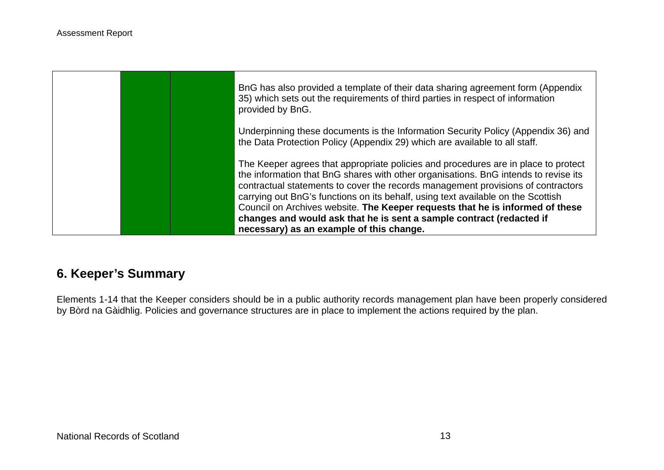

# **6. Keeper's Summary**

Elements 1-14 that the Keeper considers should be in a public authority records management plan have been properly considered by Bòrd na Gàidhlig. Policies and governance structures are in place to implement the actions required by the plan.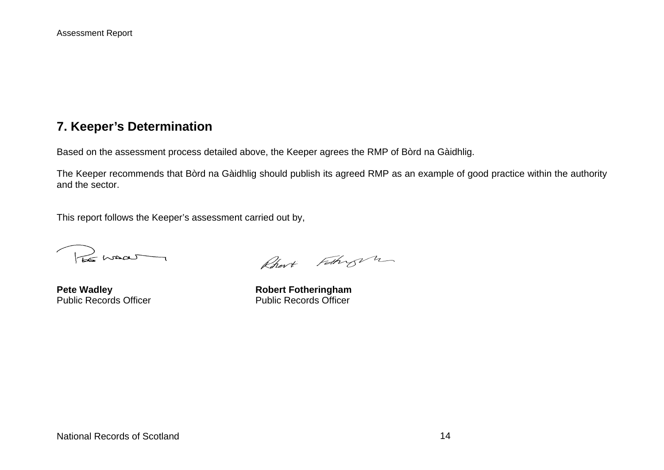## **7. Keeper's Determination**

Based on the assessment process detailed above, the Keeper agrees the RMP of Bòrd na Gàidhlig.

The Keeper recommends that Bòrd na Gàidhlig should publish its agreed RMP as an example of good practice within the authority and the sector.

This report follows the Keeper's assessment carried out by,

Pos mass

Rhort Fathry 2

**Pete Wadley Manual Control Public Records Officer Cubic Records Officer**<br> **Public Records Officer** Manual Public Records Officer Public Records Officer